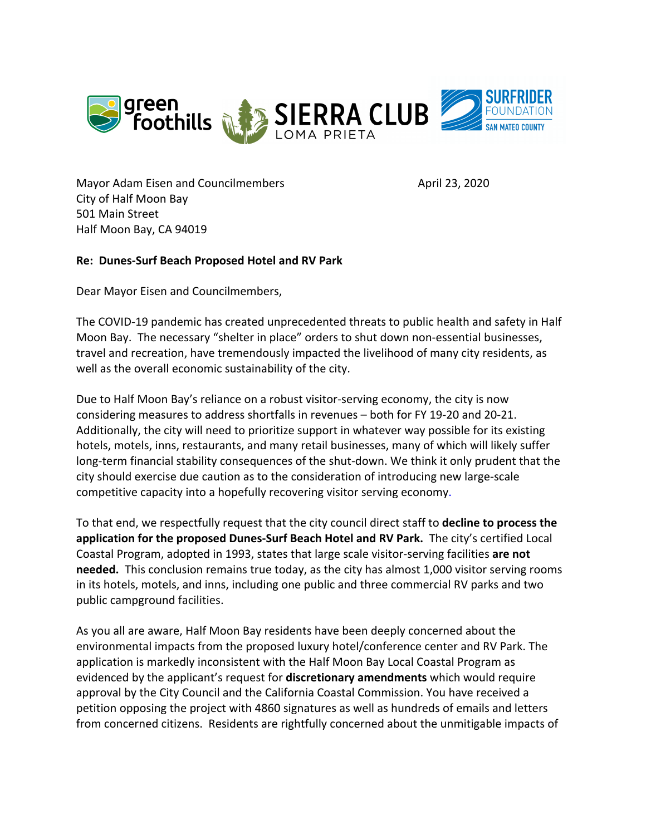

Mayor Adam Eisen and Councilmembers **Access 1986** April 23, 2020 City of Half Moon Bay 501 Main Street Half Moon Bay, CA 94019

## **Re: Dunes-Surf Beach Proposed Hotel and RV Park**

Dear Mayor Eisen and Councilmembers,

The COVID-19 pandemic has created unprecedented threats to public health and safety in Half Moon Bay. The necessary "shelter in place" orders to shut down non-essential businesses, travel and recreation, have tremendously impacted the livelihood of many city residents, as well as the overall economic sustainability of the city.

Due to Half Moon Bay's reliance on a robust visitor-serving economy, the city is now considering measures to address shortfalls in revenues – both for FY 19-20 and 20-21. Additionally, the city will need to prioritize support in whatever way possible for its existing hotels, motels, inns, restaurants, and many retail businesses, many of which will likely suffer long-term financial stability consequences of the shut-down. We think it only prudent that the city should exercise due caution as to the consideration of introducing new large-scale competitive capacity into a hopefully recovering visitor serving economy.

To that end, we respectfully request that the city council direct staff to **decline to process the application for the proposed Dunes-Surf Beach Hotel and RV Park.** The city's certified Local Coastal Program, adopted in 1993, states that large scale visitor-serving facilities **are not needed.** This conclusion remains true today, as the city has almost 1,000 visitor serving rooms in its hotels, motels, and inns, including one public and three commercial RV parks and two public campground facilities.

As you all are aware, Half Moon Bay residents have been deeply concerned about the environmental impacts from the proposed luxury hotel/conference center and RV Park. The application is markedly inconsistent with the Half Moon Bay Local Coastal Program as evidenced by the applicant's request for **discretionary amendments** which would require approval by the City Council and the California Coastal Commission. You have received a petition opposing the project with 4860 signatures as well as hundreds of emails and letters from concerned citizens. Residents are rightfully concerned about the unmitigable impacts of